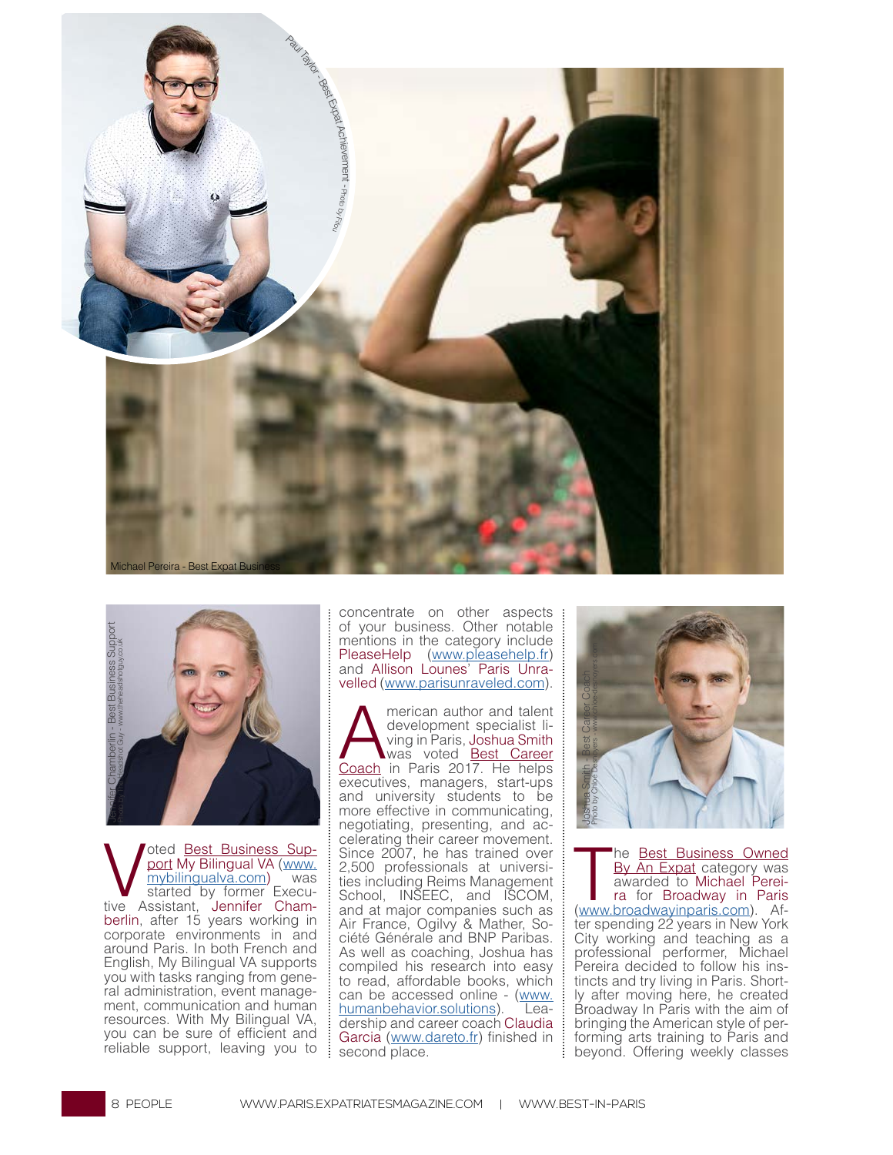



Voted <u>Best Business Sup-</u><br>
<u>port</u> My Bilingual VA (www.<br>
mybilingual va.com) was<br>
started by former Execu-<br>
Assistant, Jennifer Champort My Bilingual VA (www. mybilingualva.com) was started by former Execuberlin, after 15 years working in corporate environments in and around Paris. In both French and English, My Bilingual VA supports you with tasks ranging from general administration, event management, communication and human resources. With My Bilingual VA, you can be sure of efficient and reliable support, leaving you to concentrate on other aspects of your business. Other notable mentions in the category include PleaseHelp (www.pleasehelp.fr) and Allison Lounes' Paris Unravelled (www.parisunraveled.com).

Merican author and talent<br>development specialist li-<br>ving in Paris, Joshua Smith<br>Coach in Paris 2017 He helps development specialist li-<br>ving in Paris, Joshua Smith was voted **Best Career** Coach in Paris 2017. He helps executives, managers, start-ups and university students to be more effective in communicating, negotiating, presenting, and ac- celerating their career movement. Since 2007, he has trained over 2,500 professionals at universities including Reims Management School, INSEEC, and ISCOM, and at major companies such as Air France, Ogilvy & Mather, So- ciété Générale and BNP Paribas. As well as coaching, Joshua has compiled his research into easy to read, affordable books, which can be accessed online - (www. humanbehavior.solutions). Leadership and career coach Claudia Garcia (www.dareto.fr) finished in second place.



 $\overline{\mathbf{r}}$ he <u>Best Business Owned</u> By An Expat category was awarded to Michael Pereira for Broadway in Paris (www.broadwayinparis.com). Af-<br>ter spending 22 years in New York City working and teaching as a professional performer, Michael Pereira decided to follow his instincts and try living in Paris. Shortly after moving here, he created Broadway In Paris with the aim of bringing the American style of performing arts training to Paris and beyond. Offering weekly classes